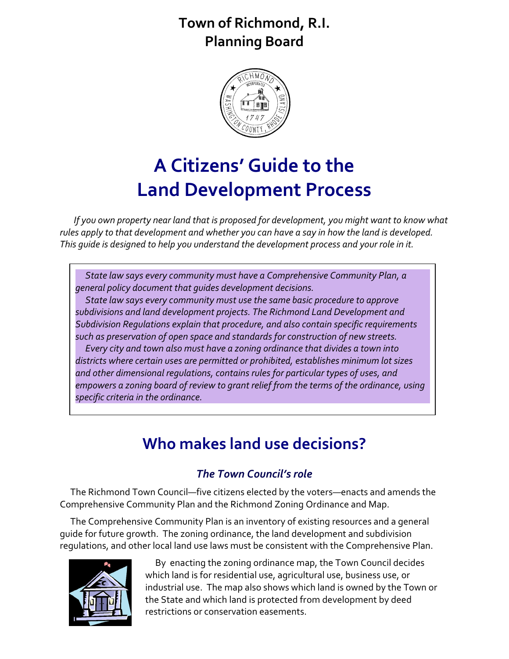### **Town of Richmond, R.I. Planning Board**



# **A Citizens' Guide to the Land Development Process**

 *If you own property near land that is proposed for development, you might want to know what rules apply to that development and whether you can have a say in how the land is developed. This guide is designed to help you understand the development process and your role in it.*

 *State law says every community must have a Comprehensive Community Plan, a general policy document that guides development decisions.*

 *State law says every community must use the same basic procedure to approve subdivisions and land development projects. The Richmond Land Development and Subdivision Regulations explain that procedure, and also contain specific requirements such as preservation of open space and standards for construction of new streets. Every city and town also must have a zoning ordinance that divides a town into districts where certain uses are permitted or prohibited, establishes minimum lot sizes and other dimensional regulations, contains rules for particular types of uses, and empowers a zoning board of review to grant relief from the terms of the ordinance, using specific criteria in the ordinance.* 

## **Who makes land use decisions?**

### *The Town Council's role*

The Richmond Town Council—five citizens elected by the voters—enacts and amends the Comprehensive Community Plan and the Richmond Zoning Ordinance and Map.

The Comprehensive Community Plan is an inventory of existing resources and a general guide for future growth. The zoning ordinance, the land development and subdivision regulations, and other local land use laws must be consistent with the Comprehensive Plan.



 By enacting the zoning ordinance map, the Town Council decides which land is for residential use, agricultural use, business use, or industrial use. The map also shows which land is owned by the Town or the State and which land is protected from development by deed restrictions or conservation easements.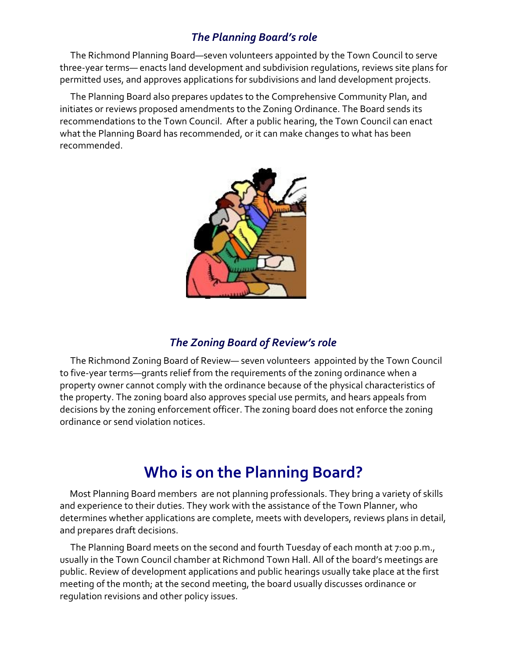### *The Planning Board's role*

The Richmond Planning Board—seven volunteers appointed by the Town Council to serve three-year terms— enacts land development and subdivision regulations, reviews site plans for permitted uses, and approves applications for subdivisions and land development projects.

The Planning Board also prepares updates to the Comprehensive Community Plan, and initiates or reviews proposed amendments to the Zoning Ordinance. The Board sends its recommendations to the Town Council. After a public hearing, the Town Council can enact what the Planning Board has recommended, or it can make changes to what has been recommended.



#### *The Zoning Board of Review's role*

The Richmond Zoning Board of Review— seven volunteers appointed by the Town Council to five-year terms—grants relief from the requirements of the zoning ordinance when a property owner cannot comply with the ordinance because of the physical characteristics of the property. The zoning board also approves special use permits, and hears appeals from decisions by the zoning enforcement officer. The zoning board does not enforce the zoning ordinance or send violation notices.

### **Who is on the Planning Board?**

 Most Planning Board members are not planning professionals. They bring a variety of skills and experience to their duties. They work with the assistance of the Town Planner, who determines whether applications are complete, meets with developers, reviews plans in detail, and prepares draft decisions.

The Planning Board meets on the second and fourth Tuesday of each month at 7:00 p.m., usually in the Town Council chamber at Richmond Town Hall. All of the board's meetings are public. Review of development applications and public hearings usually take place at the first meeting of the month; at the second meeting, the board usually discusses ordinance or regulation revisions and other policy issues.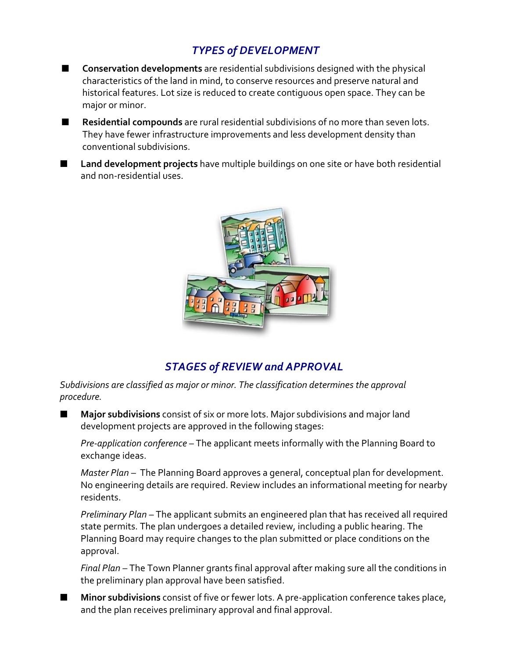### *TYPES of DEVELOPMENT*

- Conservation developments are residential subdivisions designed with the physical characteristics of the land in mind, to conserve resources and preserve natural and historical features. Lot size is reduced to create contiguous open space. They can be major or minor.
- **E** Residential compounds are rural residential subdivisions of no more than seven lots. They have fewer infrastructure improvements and less development density than conventional subdivisions.
- Land development projects have multiple buildings on one site or have both residential and non-residential uses.



### *STAGES of REVIEW and APPROVAL*

*Subdivisions are classified as major or minor. The classification determines the approval procedure.*

O **Major subdivisions** consist of six or more lots. Major subdivisions and major land development projects are approved in the following stages:

*Pre-application conference* – The applicant meets informally with the Planning Board to exchange ideas.

*Master Plan* – The Planning Board approves a general, conceptual plan for development. No engineering details are required. Review includes an informational meeting for nearby residents.

*Preliminary Plan* – The applicant submits an engineered plan that has received all required state permits. The plan undergoes a detailed review, including a public hearing. The Planning Board may require changes to the plan submitted or place conditions on the approval.

*Final Plan* – The Town Planner grants final approval after making sure all the conditions in the preliminary plan approval have been satisfied.

Minor subdivisions consist of five or fewer lots. A pre-application conference takes place, and the plan receives preliminary approval and final approval.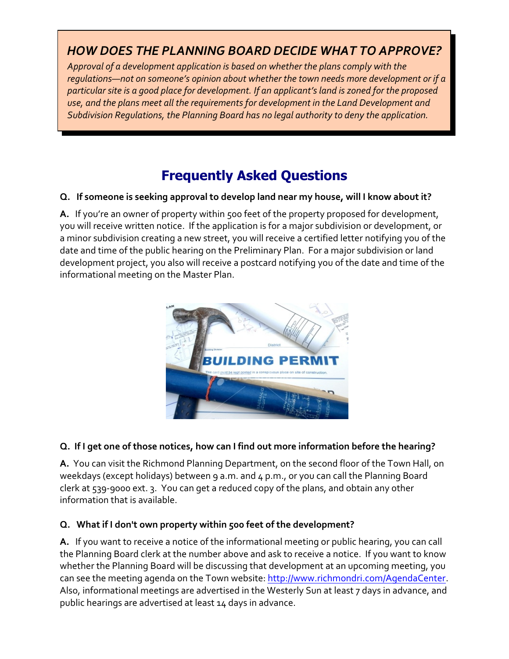### *HOW DOES THE PLANNING BOARD DECIDE WHAT TO APPROVE?*

*Approval of a development application is based on whether the plans comply with the regulations—not on someone's opinion about whether the town needs more development or if a particular site is a good place for development. If an applicant's land is zoned for the proposed use, and the plans meet all the requirements for development in the Land Development and Subdivision Regulations, the Planning Board has no legal authority to deny the application.*

### **Frequently Asked Questions**

#### **Q. If someone is seeking approval to develop land near my house, will I know about it?**

**A.** If you're an owner of property within 500 feet of the property proposed for development, you will receive written notice. If the application is for a major subdivision or development, or a minor subdivision creating a new street, you will receive a certified letter notifying you of the date and time of the public hearing on the Preliminary Plan. For a major subdivision or land development project, you also will receive a postcard notifying you of the date and time of the informational meeting on the Master Plan.



#### **Q. If I get one of those notices, how can I find out more information before the hearing?**

**A.** You can visit the Richmond Planning Department, on the second floor of the Town Hall, on weekdays (except holidays) between 9 a.m. and 4 p.m., or you can call the Planning Board clerk at 539-9000 ext. 3. You can get a reduced copy of the plans, and obtain any other information that is available.

#### **Q. What if I don't own property within 500 feet of the development?**

**A.** If you want to receive a notice of the informational meeting or public hearing, you can call the Planning Board clerk at the number above and ask to receive a notice. If you want to know whether the Planning Board will be discussing that development at an upcoming meeting, you can see the meeting agenda on the Town website:<http://www.richmondri.com/AgendaCenter>. Also, informational meetings are advertised in the Westerly Sun at least 7 days in advance, and public hearings are advertised at least 14 days in advance.